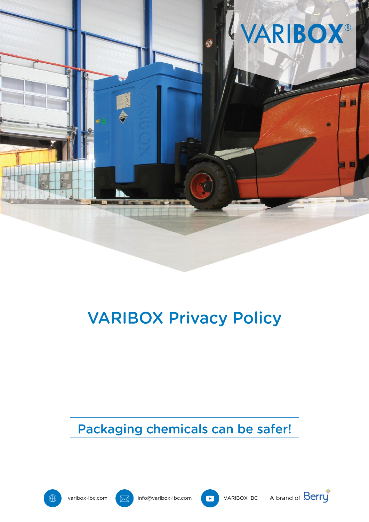

# **VARIBOX Privacy Policy**

Packaging chemicals can be safer!







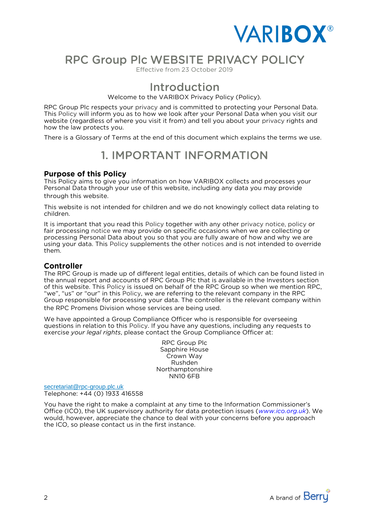

## RPC Group Plc WEBSITE PRIVACY POLICY

Effective from 23 October 2019

### **Introduction**

Welcome to the VARIBOX Privacy Policy (Policy).<br>RPC Group Plc respects your privacy and is committed to protecting your Personal Data. This Policy will inform you as to how we look after your Personal Data when you visit our website (regardless of where you visit it from) and tell you about your privacy rights and how the law protects you.

There is a Glossary of Terms at the end of this document which explains the terms we use. There is a Glossary of Terms at the end of this document which explains the terms we use.

## 1. IMPORTANT INFORMATION

### **Purpose of this Policy**

This Policy aims to give you information on how VARIBOX collects and processes your<br>Personal Data through your use of this website, including any data you may provide through this website.

This website is not intended for children and we do not knowingly collect data relating to  $\text{children}$ 

It is important that you read this Policy together with any other privacy notice, policy or fair processing notice we may provide on specific occasions when we are collecting or processing Personal Data about you so that you are fully aware of how and why we are processing your data. This Policy supplements the other notices and is not intended to overright  $t$ hem

### **Controller**

The RPC Group is made up of different legal entities, details of which can be found listed in the annual report and accounts of RPC Group Plc that is available in the Investors section of this website. This Policy is issued on behalf of the RPC Group so when we mention RPC. "we", "us" or "our" in this Policy, we are referring to the relevant company in the RPC Group responsible for processing your data. The controller is the relevant company within the RPC Promens Division whose services are being used.

We have appointed a Group Compliance Officer who is responsible for overseeing questions in relation to this Policy. If you have any questions, including any requests to exercise your legal rights, please contact the Group Compliance Officer at: exercise *your legal rights*, please contact the Group Compliance Officer at:

RPC Group Plc<br>Sapphire House Crown Way Rushden Northamptonshire NN<sub>10</sub> 6FB NN10 6FB

[secretariat@rpc-group.plc.uk](mailto:secretariat@rpc-group.plc.uk)

Telephone: +44 (0) 1933 416558<br>You have the right to make a complaint at any time to the Information Commissioner's Office (ICO), the UK supervisory authority for data protection issues (www.ico.org.uk). We would, however, appreciate the chance to deal with your concerns before you approach the ICO, so please contact us in the first instance. the ICO, so please contact us in the first instance.

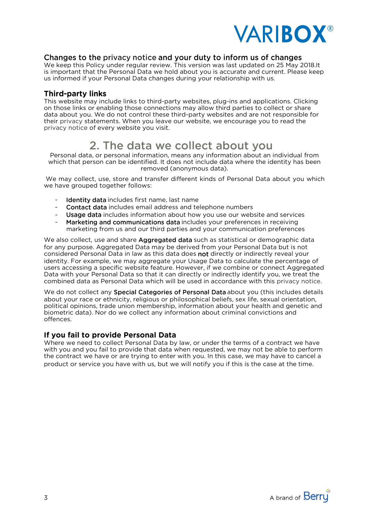

### Changes to the privacy notice and your duty to inform us of changes

We keep this Policy under regular review. This version was last updated on 25 May 2018.It is important that the Personal Data we hold about you is accurate and current. Please keep us informed if your Personal Data changes during your relationship with us. us informed if your Personal Data changes during your relationship with us.

### **Third-party links**

This website may include links to third-party websites, plug-ins and applications. Clicking on those links or enabling those connections may allow third parties to collect or share data about vou. We do not control these third-party websites and are not responsible for their privacy statements. When you leave our website, we encourage you to read the privacy notice of every website you visit. privacy notice of every website you visit.

### 2. The data we collect about you

Personal data, or personal information, means any information about an individual from removed (anonymous data).

We may collect, use, store and transfer different kinds of Personal Data about you which we have grouped together follows:  $\frac{1}{2}$ we have grouped together follows:

- $\mathbf{r}$
- Identity data includes first name, last name<br>- Contact data includes email address and telephone numbers
- Usage data includes information about how you use our website and services
- Marketing and communications data includes your preferences in receiving marketing from us and our third parties and your communication preferences

We also collect, use and share Aggregated data such as statistical or demographic data for any purpose. Aggregated Data may be derived from your Personal Data but is not considered Personal Data in law as this data does not directly or indirectly reveal your identity. For example, we may aggregate your Usage Data to calculate the percentage of users accessing a specific website feature. However, if we combine or connect Aggregated Data with your Personal Data so that it can directly or indirectly identify you, we treat the  $\epsilon$  combined data as Personal Data which will be used in accordance with this privacy notice

combined data as Personal Data which will be used in accordance with this privacy notice. We do not collect any **Special Categories of Personal Data** about you (this includes details about your race or ethnicity, religious or philosophical beliefs, sex life, sexual orientation, political opinions, trade union membership, information about vour health and genetic and political opinions, the union membership opinion membership membership in the union membership of the bound of biometric data). Nor do we collect any information about criminal convictions and offences.

### If you fail to provide Personal Data

Where we need to collect Personal Data by law, or under the terms of a contract we have<br>with you and you fail to provide that data when requested, we may not be able to perform the contract we have or are trying to enter with you. In this case, we may have to cancel a product or service you have with us, but we will notify you if this is the case at the time. product or service you have with us, but we will notify you if this is the case at the time.

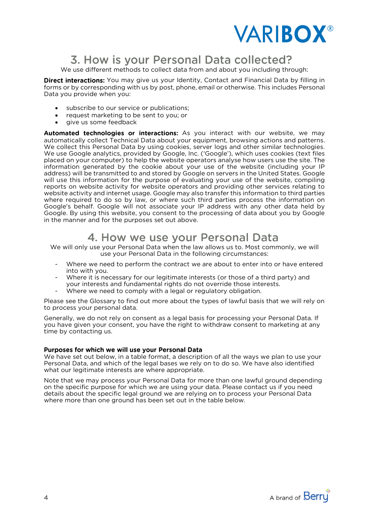

## 3. How is your Personal Data collected?

We use different methods to collect data from and about you including through:<br>**Direct interactions:** You may give us your Identity. Contact and Financial Data by filling in

forms or by corresponding with us by post, phone, email or otherwise. This includes Personal Data you provide when you: Data you provide when you:

- subscribe to our service or publications;<br>• request marketing to be sent to you; or
- request marketing to be sent to you; or<br>• give us some feedback
- 

• give us some feedback<br>Automated technologies or interactions: As you interact with our website, we may automatically collect Technical Data about your equipment, browsing actions and patterns. We collect this Personal Data by using cookies, server logs and other similar technologies. We use Google analytics, provided by Google, Inc. ('Google'), which uses cookies (text files placed on your computer) to help the website operators analyse how users use the site. The information generated by the cookie about your use of the website (including your IP address) will be transmitted to and stored by Google on servers in the United States. Google will use this information for the purpose of evaluating your use of the website, compiling reports on website activity for website operators and providing other services relating to website activity and internet usage. Google may also transfer this information to third parties where required to do so by law, or where such third parties process the information on Google's behalf. Google will not associate your IP address with any other data held by Google. By using this website, you consent to the processing of data about you by Google in the manner and for the purposes set out above. in the manner and for the purposes set out above.

### 4. How we use your Personal Data

We will only use your Personal Data when the law allows us to. Most commonly, we will<br>use your Personal Data in the following circumstances:

- Where we need to perform the contract we are about to enter into or have entered into with vou.
- Where it is necessary for our legitimate interests (or those of a third party) and your interests and fundamental rights do not override those interests.
- Where we need to comply with a legal or regulatory obligation.

Please see the Glossary to find out more about the types of lawful basis that we will rely on to process your personal data.

Generally, we do not rely on consent as a legal basis for processing your Personal Data. If you have given your consent, you have the right to withdraw consent to marketing at any time by contacting us. time by contacting us.

### Purposes for which we will use your Personal Data

We have set out below, in a table format, a description of all the ways we plan to use your Personal Data, and which of the legal bases we rely on to do so. We have also identified what our legitimate interests are where appropriate.

Note that we may process your Personal Data for more than one lawful ground depending on the specific purpose for which we are using your data. Please contact us if you need details about the specific legal ground we are relying on to process your Personal Data. where more than one ground has been set out in the table below. where more than one ground has been set out in the table below.

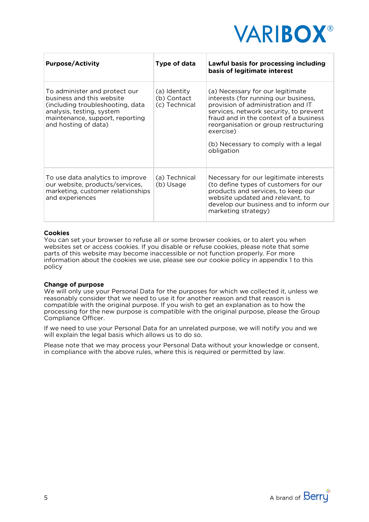

| <b>Purpose/Activity</b>                                                                                                                                                                | Type of data                                 | Lawful basis for processing including<br>basis of legitimate interest                                                                                                                                                                                                                                          |
|----------------------------------------------------------------------------------------------------------------------------------------------------------------------------------------|----------------------------------------------|----------------------------------------------------------------------------------------------------------------------------------------------------------------------------------------------------------------------------------------------------------------------------------------------------------------|
| To administer and protect our<br>business and this website<br>(including troubleshooting, data<br>analysis, testing, system<br>maintenance, support, reporting<br>and hosting of data) | (a) Identity<br>(b) Contact<br>(c) Technical | (a) Necessary for our legitimate<br>interests (for running our business,<br>provision of administration and IT<br>services, network security, to prevent<br>fraud and in the context of a business<br>reorganisation or group restructuring<br>exercise)<br>(b) Necessary to comply with a legal<br>obligation |
| To use data analytics to improve<br>our website, products/services,<br>marketing, customer relationships<br>and experiences                                                            | (a) Technical<br>(b) Usage                   | Necessary for our legitimate interests<br>(to define types of customers for our<br>products and services, to keep our<br>website updated and relevant, to<br>develop our business and to inform our<br>marketing strategy)                                                                                     |

### **Cookies**

You can set your browser to refuse all or some browser cookies, or to alert you when<br>websites set or access cookies. If you disable or refuse cookies, please note that some parts of this website may become inaccessible or not function properly. For more information about the cookies we use please see our cookie policy in appendix 1 t information about the cookies we use, please see our cookie policy in appendix 1 to this policy <sub>2</sub>

#### **Change of purpose**

We will only use your Personal Data for the purposes for which we collected it, unless we reasonably consider that we need to use it for another reason and that reason is compatible with the original purpose. If you wish to get an explanation as to how the processing for the new purpose is compatible with the original purpose, please the Group Compliance Officer.

If we need to use your Personal Data for an unrelated purpose, we will notify you and we will explain the legal basis which allows us to do so.

Please note that we may process your Personal Data without your knowledge or consent, in compliance with the above rules, where this is required or permitted by law. in compliance with the above rules, where this is required or permitted by law.

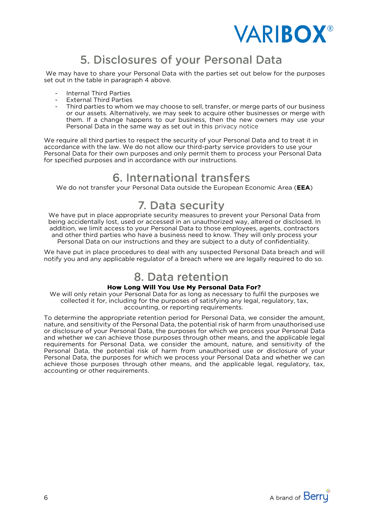

## 5. Disclosures of your Personal Data

We may have to share your Personal Data with the parties set out below for the purposes set out in the table in paragraph 4 above. set out in the table in paragraph 4 above.

- **Internal Third Parties**
- **External Third Parties**
- Third parties to whom we may choose to sell, transfer, or merge parts of our business or our assets. Alternatively, we may seek to acquire other businesses or merge with them. If a change happens to our business, then the new owners may use your Personal Data in the same way as set out in this privacy notice Personal Data in the same way as set out in this privacy notice

We require all third parties to respect the security of your Personal Data and to treat it in accordance with the law. We do not allow our third-party service providers to use your Personal Data for their own purposes and only permit them to process your Personal Data for specified purposes and in accordance with our instructions. for specified purposes and in accordance with our instructions.

### 6. International transfers

We do not transfer your Personal Data outside the European Economic Area (**EEA**)

### 7. Data security

We have put in place appropriate security measures to prevent your Personal Data from<br>being accidentally lost, used or accessed in an unauthorized way, altered or disclosed. In addition, we limit access to your Personal Data to those employees, agents, contractors and other third parties who have a business need to know. They will only process your Personal Data on our instructions and they are subject to a duty of confidentiality.

We have put in place procedures to deal with any suspected Personal Data breach and will notify you and any applicable regulator of a breach where we are legally required to do so. notify you and any applicable regulator of a breach where we are legally required to do so.

## 8. Data retention

### How Long Will You Use My Personal Data For?

We will only retain your Personal Data for as long as necessary to fulfil the purposes we collected it for, including for the purposes of satisfying any legal, regulatory, tax, accounting, or reporting requirements.

To determine the appropriate retention period for Personal Data, we consider the amount. nature, and sensitivity of the Personal Data, the potential risk of harm from unauthorised use or disclosure of your Personal Data, the purposes for which we process your Personal Data and whether we can achieve those purposes through other means, and the applicable legal requirements for Personal Data, we consider the amount, nature, and sensitivity of the requirements for Personal Data, the consider the amount, nature, and considering of the Personal Data, the potential risk of harm from unauthorised use or disclosure of your Personal Data, the purposes for which we process your Personal Data and whether we can achieve those purposes through other means, and the applicable legal, regulatory, tax, accounting or other requirements. accounting or other requirements.

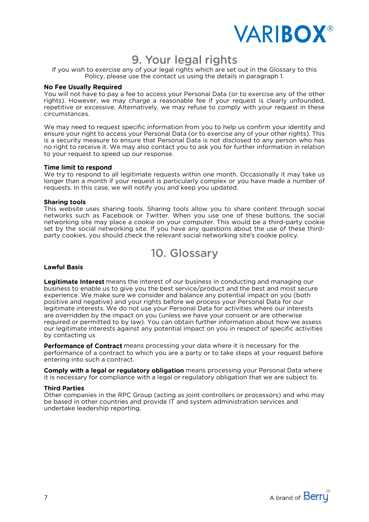

## 9. Your legal rights

If you wish to exercise any of your legal rights which are set out in the Glossary to this<br>Policy, please use the contact us using the details in paragraph 1. Policy, please use the contact us using the details in paragraph 1.

You will not have to pay a fee to access your Personal Data (or to exercise any of the other rights). However, we may charge a reasonable fee if your request is clearly unfounded, repetitive or excessive. Alternatively, we may refuse to comply with your request in these circumstances. circumstances.

We may need to request specific information from you to help us confirm your identity and<br>ensure your right to access your Personal Data (or to exercise any of your other rights). This is a security measure to ensure that Personal Data is not disclosed to any person who has no right to receive it. We may also contact you to ask you for further information in relation  $\frac{1}{2}$  or  $\frac{1}{2}$  for receiver it. We may also contact  $\frac{1}{2}$  for  $\frac{1}{2}$  for  $\frac{1}{2}$  for  $\frac{1}{2}$  for  $\frac{1}{2}$  for  $\frac{1}{2}$  for  $\frac{1}{2}$  for  $\frac{1}{2}$  for  $\frac{1}{2}$  for  $\frac{1}{2}$  for  $\frac{1}{2}$  for  $\frac{1}{2$ to your request to speed up our response.

#### Time limit to respond

We try to respond to all legitimate requests within one month. Occasionally it may take us longer than a month if your request is particularly complex or you have made a number of requests. In this case, we will notify you and keep you updated. requests. In this case, we will notify you and keep you updated.

#### **Sharing tools**

This website uses sharing tools. Sharing tools allow you to share content through social networks such as Facebook or Twitter. When you use one of these buttons, the social networking site may place a cookie on your computer. This would be a third-party cookie set by the social networking site. If you have any questions about the use of these thirdparty cookies, you should check the relevant social networking site's cookie policy.

10. Glossary

#### **Lawful Basis**

**Legitimate Interest** means the interest of our business in conducting and managing our business to enable us to give you the best service/product and the best and most secure experience. We make sure we consider and balance any potential impact on you (both positive and negative) and your rights before we process your Personal Data for our legitimate interests. We do not use your Personal Data for activities where our interests are overridden by the impact on you (unless we have your consent or are otherwise required or permitted to by law). You can obtain further information about how we assess our legitimate interests against any potential impact on you in respect of specific activities by contacting us by contacting us

**Performance of Contract** means processing your data where it is necessary for the performance of a contract to which you are a party or to take steps at your request before entering into such a contract.

**Comply with a legal or regulatory obligation** means processing your Personal Data where it is necessary for compliance with a legal or regulatory obligation that we are subject to. it is necessary for compliance with a legal or regulatory obligation that we are subject to.

Other companies in the RPC Group (acting as joint controllers or processors) and who may be based in other countries and provide IT and system administration services and undertake leadership reporting. undertake leadership reporting.

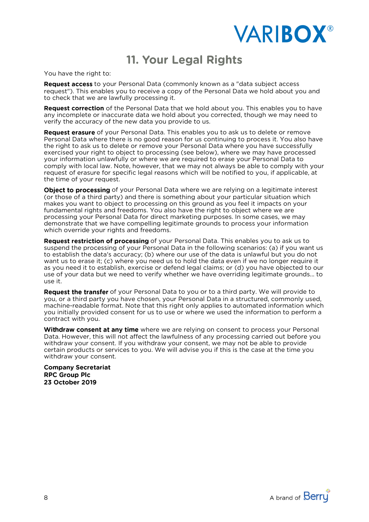

## 11. Your Legal Rights

You have the right to:

**Request access** to your Personal Data (commonly known as a "data subject access request"). This enables you to receive a copy of the Personal Data we hold about you and to check that we are lawfully processing it.

**Request correction** of the Personal Data that we hold about you. This enables you to have any incomplete or inaccurate data we hold about you corrected, though we may need to verify the accuracy of the new data you provide to us.

**Request erasure** of your Personal Data. This enables you to ask us to delete or remove Personal Data where there is no good reason for us continuing to process it. You also have the right to ask us to delete or remove your Personal Data where you have successfully exercised your right to object to processing (see below), where we may have processed your information unlawfully or where we are required to erase your Personal Data to comply with local law. Note, however, that we may not always be able to comply with your request of erasure for specific legal reasons which will be notified to you, if applicable, at the time of your reauest.

Object to processing of your Personal Data where we are relying on a legitimate interest (or those of a third party) and there is something about your particular situation which makes you want to object to processing on this ground as you feel it impacts on your fundamental rights and freedoms. You also have the right to object where we are processing your Personal Data for direct marketing purposes. In some cases, we may demonstrate that we have compelling legitimate grounds to process your information which override your rights and freedoms.

Request restriction of processing of your Personal Data. This enables you to ask us to suspend the processing of your Personal Data in the following scenarios: (a) if you want us to establish the data's accuracy; (b) where our use of the data is unlawful but you do not want us to erase it; (c) where you need us to hold the data even if we no longer require it as you need it to establish, exercise or defend legal claims; or (d) you have objected to our as you need to verify whether we have overriding legitimate grounds. To use of your data but we need to verify whether we have overriding legitimate grounds. To  $\mathbf{u}$ se of  $\mathbf{v}$  whether we have over  $\mathbf{v}$  whether we have overriding legitimate grounds. use it.

**Request the transfer** of your Personal Data to you or to a third party. We will provide to you, or a third party you have chosen, your Personal Data in a structured, commonly used, machine-readable format. Note that this right only applies to automated information which you initially provided consent for us to use or where we used the information to perform a contract with you.

Withdraw consent at any time where we are relying on consent to process your Personal Data. However, this will not affect the lawfulness of any processing carried out before you withdraw your consent. If you withdraw your consent, we may not be able to provide certain products or services to you. We will advise you if this is the case at the time you withdraw your consent.

**Company Secretariat. RPC Group Plc 23 October 2019** 

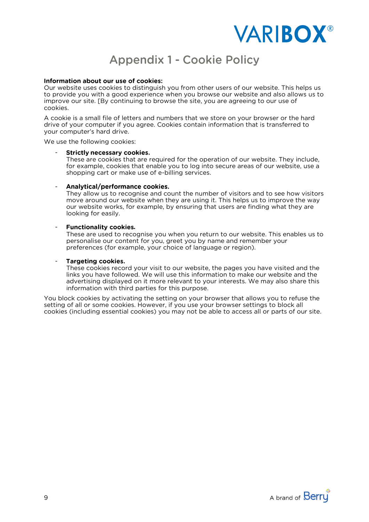

## **Appendix 1 - Cookie Policy**

#### Information about our use of cookies:

Our website uses cookies to distinguish you from other users of our website. This helps us<br>to provide you with a good experience when you browse our website and also allows us to improve our site. [By continuing to browse the site, you are agreeing to our use of improve our site. [By continuing to browse the site, you are agreeing to our use of

A cookie is a small file of letters and numbers that we store on your browser or the hard drive of your computer if you agree. Cookies contain information that is transferred to your computer's hard drive. your computer's hard drive.

We use the following cookies:

These are cookies that are required for the operation of our website. They include, for example, cookies that enable you to log into secure areas of our website, use a  $\frac{1}{2}$  shopping cart or make use of e-billing services. shopping cart or make use of e-billing services.

#### Analytical/performance cookies.

They allow us to recognise and count the number of visitors and to see how visitors move around our website when they are using it. This helps us to improve the way our website works, for example, by ensuring that users are finding what they are looking for easily. looking for easily.

#### $\overline{a}$

**Functionality cookies.**<br>These are used to recognise you when you return to our website. This enables us to personalise our content for you, greet you by name and remember your personalise our content for you, greet you by name and remember you.<br>preferences (for example, your choice of language or region). preferences (for example, your choice of language or region).

#### **Targeting cookies.**

These cookies record your visit to our website, the pages you have visited and the links you have followed. We will use this information to make our website and the advertising displayed on it more relevant to your interests. We may also share this information with third parties for this purpose.

You block cookies by activating the setting on your browser that allows you to refuse the setting of all or some cookies. However, if you use your browser settings to block all cookies (including essential cookies) you may not be able to access all or parts of our site. cookies (including essential cookies) you may not be able to access all or parts of our site.

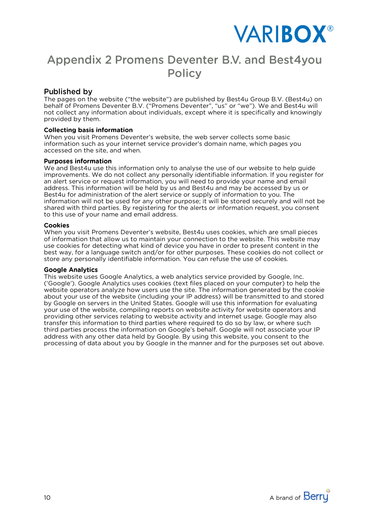

## **Appendix 2 Promens Deventer B.V. and Best4you Policy**

### **Published by**

The pages on the website ("the website") are published by Best4u Group B.V. (Best4u) on behalf of Promens Deventer B.V. ("Promens Deventer", "us" or "we"). We and Best4u will not collect any information about individuals, except where it is specifically and knowingly provided by them. provided by them.

When you visit Promens Deventer's website, the web server collects some basic<br>information such as your internet service provider's domain name, which pages you accessed on the site, and when. accessed on the site, and when.

We and Best4u use this information only to analyse the use of our website to help guide improvements. We do not collect any personally identifiable information. If you register for an alert service or request information, you will need to provide your name and email address. This information will be held by us and Best4u and may be accessed by us or Best4u for administration of the alert service or supply of information to you. The information will not be used for any other purpose; it will be stored securely and will not be shared with third parties. By registering for the alerts or information request, you consent to this use of your name and email address. to this use of your name and email address.

When you visit Promens Deventer's website, Best4u uses cookies, which are small pieces of information that allow us to maintain your connection to the website. This website may use cookies for detecting what kind of device you have in order to present content in the best way, for a language switch and/or for other purposes. These cookies do not collect or store any personally identifiable information. You can refuse the use of cookies. store any personally identifiable information. You can refuse the use of cookies.

This website uses Google Analytics, a web analytics service provided by Google, Inc. ('Google'). Google Analytics uses cookies (text files placed on your computer) to help the website operators analyze how users use the site. The information generated by the cookie about your use of the website (including your IP address) will be transmitted to and stored by Google on servers in the United States. Google will use this information for evaluating your use of the website, compiling reports on website activity for website operators and providing other services relating to website activity and internet usage. Google may also transfer this information to third parties where required to do so by law, or where such third parties process the information on Google's behalf. Google will not associate your IP address with any other data held by Google. By using this website, you consent to the processing of data about you by Google in the manner and for the purposes set out above. processing of data about you by Google in the manner and for the purposes set out above.